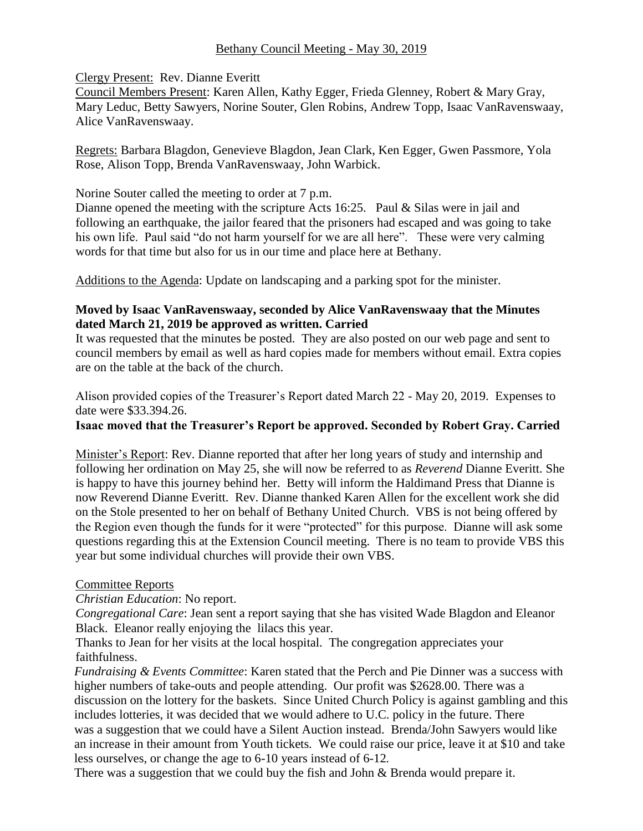## Bethany Council Meeting - May 30, 2019

#### Clergy Present: Rev. Dianne Everitt

Council Members Present: Karen Allen, Kathy Egger, Frieda Glenney, Robert & Mary Gray, Mary Leduc, Betty Sawyers, Norine Souter, Glen Robins, Andrew Topp, Isaac VanRavenswaay, Alice VanRavenswaay.

Regrets: Barbara Blagdon, Genevieve Blagdon, Jean Clark, Ken Egger, Gwen Passmore, Yola Rose, Alison Topp, Brenda VanRavenswaay, John Warbick.

Norine Souter called the meeting to order at 7 p.m.

Dianne opened the meeting with the scripture Acts 16:25. Paul & Silas were in jail and following an earthquake, the jailor feared that the prisoners had escaped and was going to take his own life. Paul said "do not harm yourself for we are all here". These were very calming words for that time but also for us in our time and place here at Bethany.

Additions to the Agenda: Update on landscaping and a parking spot for the minister.

### **Moved by Isaac VanRavenswaay, seconded by Alice VanRavenswaay that the Minutes dated March 21, 2019 be approved as written. Carried**

It was requested that the minutes be posted. They are also posted on our web page and sent to council members by email as well as hard copies made for members without email. Extra copies are on the table at the back of the church.

Alison provided copies of the Treasurer's Report dated March 22 - May 20, 2019. Expenses to date were \$33.394.26.

#### **Isaac moved that the Treasurer's Report be approved. Seconded by Robert Gray. Carried**

Minister's Report: Rev. Dianne reported that after her long years of study and internship and following her ordination on May 25, she will now be referred to as *Reverend* Dianne Everitt. She is happy to have this journey behind her. Betty will inform the Haldimand Press that Dianne is now Reverend Dianne Everitt. Rev. Dianne thanked Karen Allen for the excellent work she did on the Stole presented to her on behalf of Bethany United Church. VBS is not being offered by the Region even though the funds for it were "protected" for this purpose. Dianne will ask some questions regarding this at the Extension Council meeting. There is no team to provide VBS this year but some individual churches will provide their own VBS.

#### Committee Reports

*Christian Education*: No report.

*Congregational Care*: Jean sent a report saying that she has visited Wade Blagdon and Eleanor Black. Eleanor really enjoying the lilacs this year.

Thanks to Jean for her visits at the local hospital. The congregation appreciates your faithfulness.

*Fundraising & Events Committee*: Karen stated that the Perch and Pie Dinner was a success with higher numbers of take-outs and people attending. Our profit was \$2628.00. There was a discussion on the lottery for the baskets. Since United Church Policy is against gambling and this includes lotteries, it was decided that we would adhere to U.C. policy in the future. There was a suggestion that we could have a Silent Auction instead.Brenda/John Sawyers would like an increase in their amount from Youth tickets*.* We could raise our price, leave it at \$10 and take less ourselves, or change the age to 6-10 years instead of 6-12*.* 

There was a suggestion that we could buy the fish and John & Brenda would prepare it.